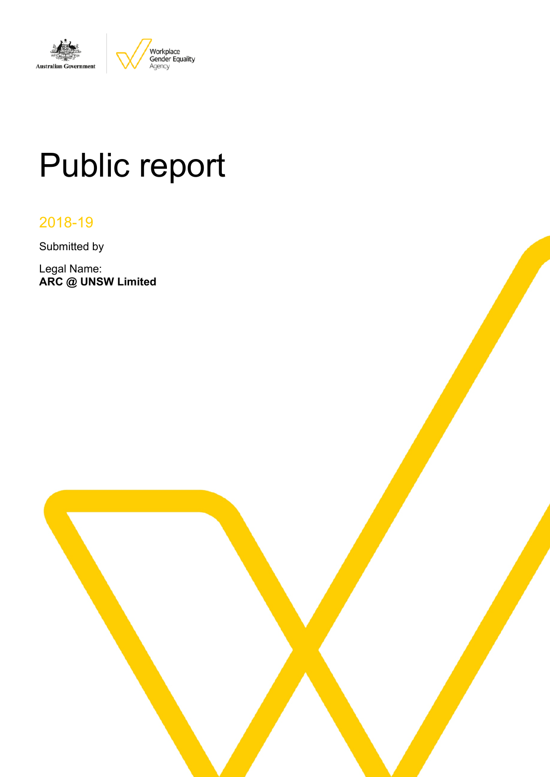

# Public report

# 2018-19

Submitted by

Legal Name: **ARC @ UNSW Limited**

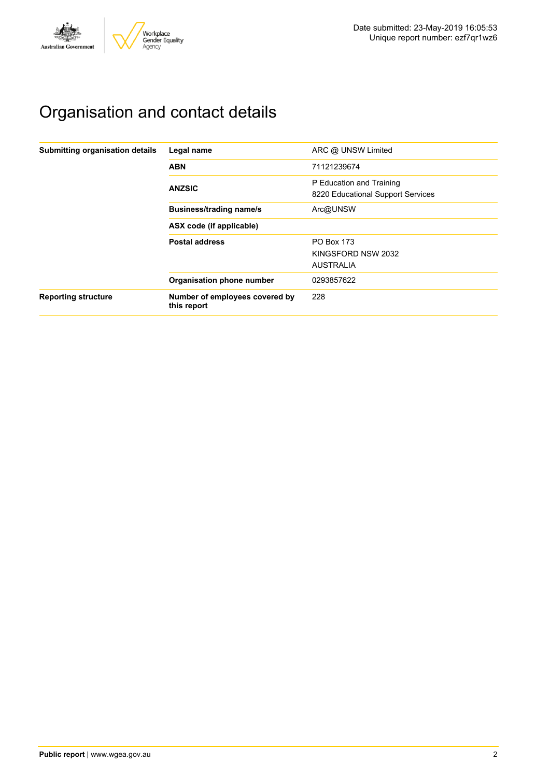

# Organisation and contact details

| Submitting organisation details | Legal name                                    | ARC @ UNSW Limited                                            |
|---------------------------------|-----------------------------------------------|---------------------------------------------------------------|
|                                 | <b>ABN</b>                                    | 71121239674                                                   |
|                                 | <b>ANZSIC</b>                                 | P Education and Training<br>8220 Educational Support Services |
|                                 | <b>Business/trading name/s</b>                | Arc@UNSW                                                      |
|                                 | ASX code (if applicable)                      |                                                               |
|                                 | <b>Postal address</b>                         | PO Box 173                                                    |
|                                 |                                               | KINGSFORD NSW 2032                                            |
|                                 |                                               | <b>AUSTRALIA</b>                                              |
|                                 | Organisation phone number                     | 0293857622                                                    |
| <b>Reporting structure</b>      | Number of employees covered by<br>this report | 228                                                           |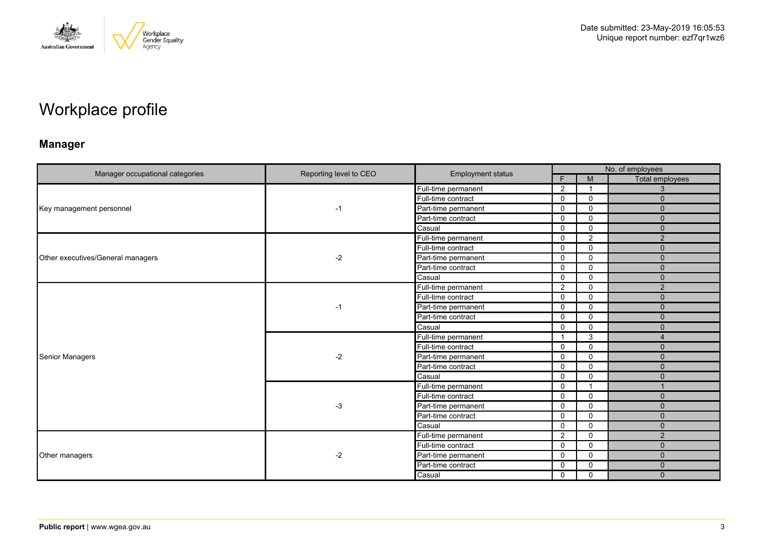

# Workplace profile

## **Manager**

| Manager occupational categories   | Reporting level to CEO | <b>Employment status</b> |                |                | No. of employees |
|-----------------------------------|------------------------|--------------------------|----------------|----------------|------------------|
|                                   |                        |                          | F.             | M              | Total employees  |
|                                   |                        | Full-time permanent      | 2              | -1             | 3                |
|                                   |                        | Full-time contract       | $\mathbf 0$    | $\mathbf 0$    | $\mathbf{0}$     |
| Key management personnel          | $-1$                   | Part-time permanent      | $\mathbf 0$    | $\mathbf 0$    | $\mathbf{0}$     |
|                                   |                        | Part-time contract       | $\mathbf 0$    | $\mathbf 0$    | $\overline{0}$   |
|                                   |                        | Casual                   | $\mathbf 0$    | $\mathbf 0$    | $\mathbf{0}$     |
|                                   |                        | Full-time permanent      | 0              | $\overline{2}$ | 2                |
|                                   |                        | Full-time contract       | $\mathbf 0$    | $\mathbf 0$    | $\overline{0}$   |
| Other executives/General managers | $-2$                   | Part-time permanent      | $\mathbf 0$    | $\mathbf 0$    | $\mathbf{0}$     |
|                                   |                        | Part-time contract       | $\mathbf 0$    | $\mathbf{0}$   | $\Omega$         |
|                                   |                        | Casual                   | $\mathbf 0$    | $\mathbf 0$    | $\mathbf{0}$     |
|                                   | -1                     | Full-time permanent      | 2              | $\mathbf 0$    | 2                |
|                                   |                        | Full-time contract       | $\mathbf 0$    | $\mathbf 0$    | $\Omega$         |
|                                   |                        | Part-time permanent      | 0              | $\mathbf 0$    | $\mathbf{0}$     |
|                                   |                        | Part-time contract       | $\mathbf 0$    | $\mathbf 0$    | $\mathbf{0}$     |
|                                   |                        | Casual                   | $\mathbf 0$    | $\mathbf{0}$   | $\Omega$         |
|                                   | $-2$                   | Full-time permanent      | -1             | 3              | $\overline{4}$   |
|                                   |                        | Full-time contract       | $\mathbf 0$    | 0              | $\mathbf{0}$     |
| <b>Senior Managers</b>            |                        | Part-time permanent      | $\mathbf{0}$   | $\mathbf{0}$   | $\Omega$         |
|                                   |                        | Part-time contract       | $\mathbf 0$    | $\mathbf 0$    | $\mathbf{0}$     |
|                                   |                        | Casual                   | $\mathbf 0$    | $\mathbf 0$    | $\mathbf{0}$     |
|                                   |                        | Full-time permanent      | $\mathbf 0$    | $\overline{1}$ | $\mathbf{1}$     |
|                                   |                        | Full-time contract       | $\mathbf 0$    | $\mathbf 0$    | $\mathbf{0}$     |
|                                   | $-3$                   | Part-time permanent      | $\mathbf 0$    | 0              | $\Omega$         |
|                                   |                        | Part-time contract       | $\mathbf 0$    | $\mathbf 0$    | $\mathbf{0}$     |
|                                   |                        | Casual                   | $\mathbf 0$    | $\mathbf 0$    | $\mathbf{0}$     |
|                                   |                        | Full-time permanent      | $\overline{2}$ | $\mathbf{0}$   | $\overline{2}$   |
|                                   |                        | Full-time contract       | $\mathbf 0$    | $\mathbf 0$    | $\mathbf{0}$     |
| Other managers                    | $-2$                   | Part-time permanent      | 0              | $\mathbf 0$    | $\mathbf{0}$     |
|                                   |                        | Part-time contract       | 0              | $\mathbf 0$    | $\mathbf{0}$     |
|                                   |                        | Casual                   | $\mathbf 0$    | $\mathbf 0$    | $\Omega$         |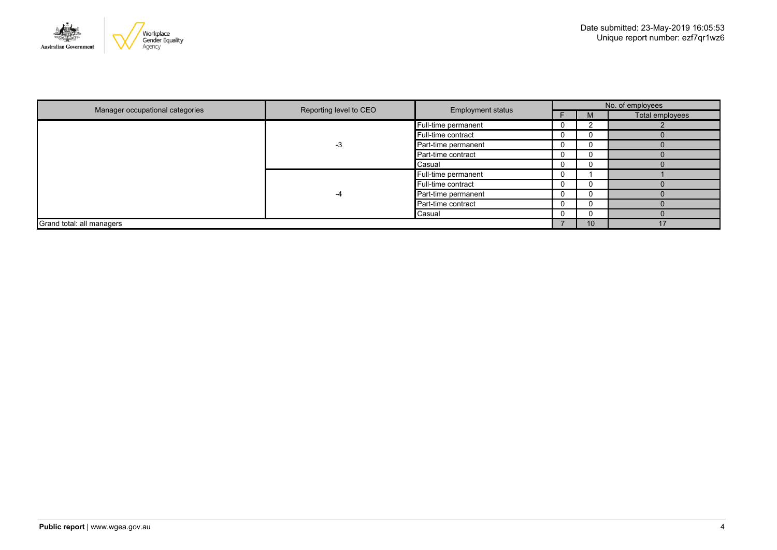

|                                 | Reporting level to CEO<br><b>Employment status</b> |                     |                    |    | No. of employees |  |
|---------------------------------|----------------------------------------------------|---------------------|--------------------|----|------------------|--|
| Manager occupational categories |                                                    |                     |                    | M  | Total employees  |  |
|                                 |                                                    | Full-time permanent | 0                  |    |                  |  |
|                                 |                                                    | Full-time contract  | U                  |    |                  |  |
|                                 | -3                                                 | Part-time permanent | 0                  |    |                  |  |
|                                 |                                                    | Part-time contract  | U                  |    |                  |  |
|                                 |                                                    | <b>Casual</b>       | 0                  |    |                  |  |
|                                 |                                                    | Full-time permanent | U                  |    |                  |  |
|                                 | -4                                                 |                     | Full-time contract | υ  |                  |  |
|                                 |                                                    | Part-time permanent | 0                  |    |                  |  |
|                                 |                                                    | Part-time contract  | 0                  |    |                  |  |
|                                 |                                                    | Casual              | 0                  |    |                  |  |
| Grand total: all managers       |                                                    |                     |                    | 10 | 17               |  |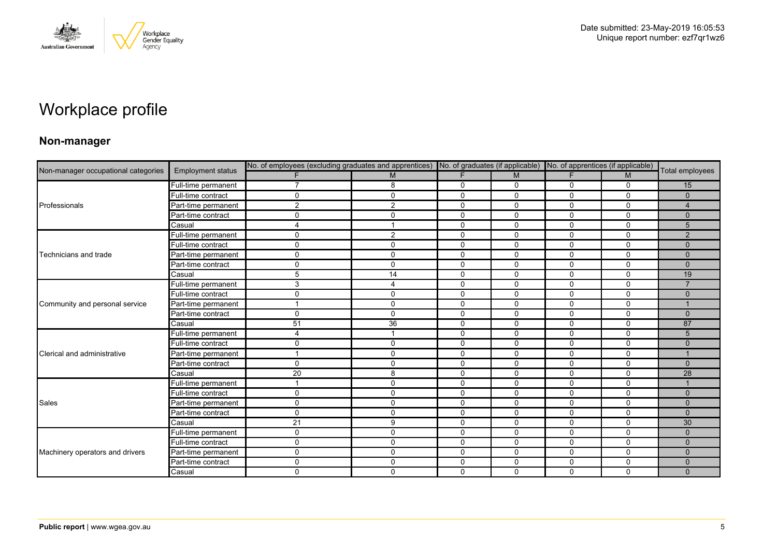

# Workplace profile

### **Non-manager**

| Non-manager occupational categories |                          |                |              |             |              |             | No. of employees (excluding graduates and apprentices) No. of graduates (if applicable) No. of apprentices (if applicable) |                 |
|-------------------------------------|--------------------------|----------------|--------------|-------------|--------------|-------------|----------------------------------------------------------------------------------------------------------------------------|-----------------|
|                                     | <b>Employment status</b> |                | M            | F           | M            | F.          | M                                                                                                                          | Total employees |
|                                     | Full-time permanent      | 7              | 8            | 0           | 0            | 0           | 0                                                                                                                          | 15              |
|                                     | Full-time contract       | $\mathbf 0$    | $\mathbf 0$  | $\mathbf 0$ | $\mathbf 0$  | 0           | $\mathbf 0$                                                                                                                | $\mathbf{0}$    |
| Professionals                       | Part-time permanent      | $\overline{2}$ | 2            | $\mathbf 0$ | 0            | 0           | $\mathbf 0$                                                                                                                | $\overline{4}$  |
|                                     | Part-time contract       | 0              | $\Omega$     | 0           | 0            | 0           | 0                                                                                                                          | $\mathbf{0}$    |
|                                     | Casual                   | $\overline{4}$ |              | $\mathbf 0$ | $\mathbf 0$  | 0           | $\mathbf 0$                                                                                                                | 5               |
|                                     | Full-time permanent      | 0              | 2            | $\mathbf 0$ | $\Omega$     | 0           | $\Omega$                                                                                                                   | 2               |
|                                     | Full-time contract       | $\mathbf 0$    | $\mathbf{0}$ | $\mathbf 0$ | $\mathbf 0$  | 0           | $\mathbf 0$                                                                                                                | $\mathbf{0}$    |
| Technicians and trade               | Part-time permanent      | $\mathbf 0$    | $\mathbf 0$  | $\mathbf 0$ | $\mathbf 0$  | 0           | $\mathbf 0$                                                                                                                | $\Omega$        |
|                                     | Part-time contract       | 0              | $\mathbf{0}$ | $\mathbf 0$ | $\Omega$     | $\Omega$    | $\Omega$                                                                                                                   | $\Omega$        |
|                                     | Casual                   | 5              | 14           | $\mathbf 0$ | $\mathbf 0$  | 0           | $\mathbf 0$                                                                                                                | 19              |
|                                     | Full-time permanent      | 3              | 4            | $\mathbf 0$ | $\mathbf 0$  | 0           | $\mathbf 0$                                                                                                                | $\overline{7}$  |
|                                     | Full-time contract       | $\mathbf 0$    | $\mathbf 0$  | $\mathbf 0$ | $\mathbf 0$  | 0           | $\mathbf 0$                                                                                                                | $\mathbf 0$     |
| Community and personal service      | Part-time permanent      | -1             | $\mathbf 0$  | 0           | 0            | 0           | 0                                                                                                                          |                 |
|                                     | Part-time contract       | $\mathbf 0$    | $\mathbf{0}$ | $\mathbf 0$ | $\mathbf 0$  | $\Omega$    | $\mathbf 0$                                                                                                                | $\Omega$        |
|                                     | Casual                   | 51             | 36           | $\mathbf 0$ | 0            | 0           | $\mathbf 0$                                                                                                                | 87              |
|                                     | Full-time permanent      | $\overline{4}$ |              | 0           | 0            | 0           | $\mathbf 0$                                                                                                                | 5               |
|                                     | Full-time contract       | 0              | $\mathbf{0}$ | $\mathbf 0$ | $\mathbf{0}$ | $\Omega$    | $\Omega$                                                                                                                   | $\Omega$        |
| Clerical and administrative         | Part-time permanent      |                | $\mathbf{0}$ | $\mathbf 0$ | $\mathbf 0$  | 0           | $\mathbf 0$                                                                                                                |                 |
|                                     | Part-time contract       | $\mathsf{O}$   | $\mathbf 0$  | $\mathbf 0$ | $\mathbf 0$  | $\mathbf 0$ | $\mathbf 0$                                                                                                                | $\Omega$        |
|                                     | Casual                   | 20             | 8            | $\mathbf 0$ | $\mathbf 0$  | $\Omega$    | $\mathbf 0$                                                                                                                | 28              |
|                                     | Full-time permanent      |                | $\Omega$     | $\mathbf 0$ | $\mathbf{0}$ | 0           | $\Omega$                                                                                                                   |                 |
|                                     | Full-time contract       | $\mathbf 0$    | $\mathbf 0$  | $\mathbf 0$ | $\mathbf 0$  | $\Omega$    | $\mathbf 0$                                                                                                                | $\Omega$        |
| <b>Sales</b>                        | Part-time permanent      | $\mathbf 0$    | $\mathbf 0$  | $\mathbf 0$ | $\mathbf 0$  | $\mathbf 0$ | $\mathbf 0$                                                                                                                | $\mathbf{0}$    |
|                                     | Part-time contract       | $\mathbf 0$    | $\Omega$     | 0           | $\mathbf{0}$ | 0           | $\mathbf 0$                                                                                                                | $\Omega$        |
|                                     | Casual                   | 21             | 9            | $\mathbf 0$ | $\mathbf 0$  | 0           | $\mathbf 0$                                                                                                                | 30              |
|                                     | Full-time permanent      | $\mathbf 0$    | $\mathbf{0}$ | $\mathbf 0$ | $\mathbf{0}$ | $\mathbf 0$ | $\mathbf 0$                                                                                                                | $\Omega$        |
|                                     | Full-time contract       | $\mathbf 0$    | $\Omega$     | $\mathbf 0$ | $\Omega$     | 0           | $\Omega$                                                                                                                   | $\Omega$        |
| Machinery operators and drivers     | Part-time permanent      | $\mathbf 0$    | $\mathbf{0}$ | $\mathbf 0$ | 0            | 0           | $\mathbf 0$                                                                                                                | $\Omega$        |
|                                     | Part-time contract       | $\mathbf 0$    | $\mathbf{0}$ | $\mathbf 0$ | $\mathbf 0$  | $\mathbf 0$ | $\mathbf 0$                                                                                                                | $\Omega$        |
|                                     | Casual                   | $\mathbf 0$    | $\mathbf{0}$ | $\Omega$    | $\Omega$     | $\Omega$    | $\mathbf 0$                                                                                                                | $\Omega$        |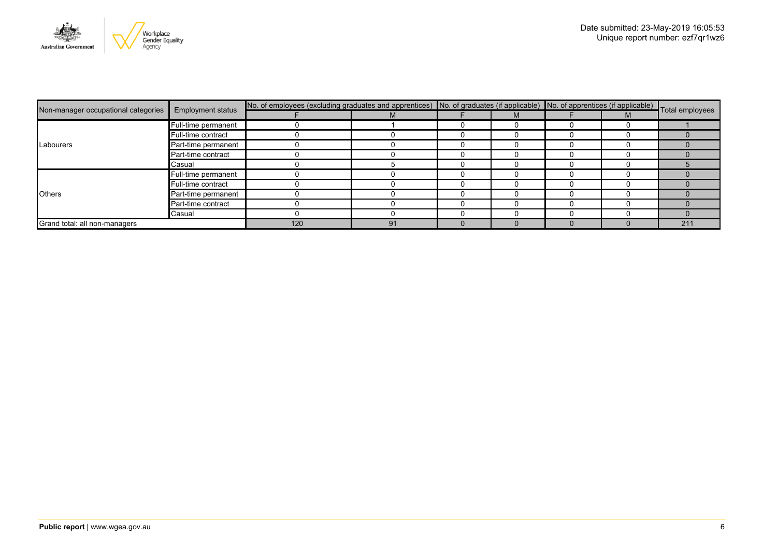

|                               | <b>Employment status</b>            | No. of employees (excluding graduates and apprentices) No. of graduates (if applicable) No. of apprentices (if applicable) Total employees |    |  |  |  |  |     |
|-------------------------------|-------------------------------------|--------------------------------------------------------------------------------------------------------------------------------------------|----|--|--|--|--|-----|
|                               | Non-manager occupational categories |                                                                                                                                            |    |  |  |  |  |     |
|                               | Full-time permanent                 |                                                                                                                                            |    |  |  |  |  |     |
|                               | Full-time contract                  |                                                                                                                                            |    |  |  |  |  |     |
| Labourers                     | Part-time permanent                 |                                                                                                                                            |    |  |  |  |  |     |
|                               | Part-time contract                  |                                                                                                                                            |    |  |  |  |  |     |
|                               | Casual                              |                                                                                                                                            |    |  |  |  |  |     |
|                               | Full-time permanent                 |                                                                                                                                            |    |  |  |  |  |     |
| <b>Others</b>                 | Full-time contract                  |                                                                                                                                            |    |  |  |  |  |     |
|                               | Part-time permanent                 |                                                                                                                                            |    |  |  |  |  |     |
|                               | Part-time contract                  |                                                                                                                                            |    |  |  |  |  |     |
|                               | Casual                              |                                                                                                                                            |    |  |  |  |  |     |
| Grand total: all non-managers |                                     | 120                                                                                                                                        | 91 |  |  |  |  | 211 |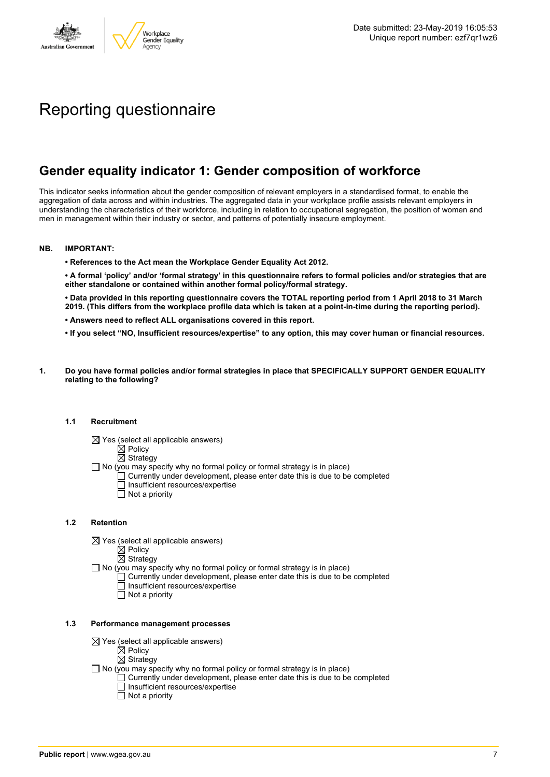

# Reporting questionnaire

## **Gender equality indicator 1: Gender composition of workforce**

This indicator seeks information about the gender composition of relevant employers in a standardised format, to enable the aggregation of data across and within industries. The aggregated data in your workplace profile assists relevant employers in understanding the characteristics of their workforce, including in relation to occupational segregation, the position of women and men in management within their industry or sector, and patterns of potentially insecure employment.

#### **NB. IMPORTANT:**

**• References to the Act mean the Workplace Gender Equality Act 2012.**

• A formal 'policy' and/or 'formal strategy' in this questionnaire refers to formal policies and/or strategies that are **either standalone or contained within another formal policy/formal strategy.**

• Data provided in this reporting questionnaire covers the TOTAL reporting period from 1 April 2018 to 31 March 2019. (This differs from the workplace profile data which is taken at a point-in-time during the reporting period).

- **• Answers need to reflect ALL organisations covered in this report.**
- . If you select "NO, Insufficient resources/expertise" to any option, this may cover human or financial resources.
- **1. Do you have formal policies and/or formal strategies in place that SPECIFICALLY SUPPORT GENDER EQUALITY relating to the following?**

#### **1.1 Recruitment**

- $\boxtimes$  Yes (select all applicable answers)
	- $\boxtimes$  Policy
	- $\boxtimes$  Strategy
- No (you may specify why no formal policy or formal strategy is in place)
	- $\Box$  Currently under development, please enter date this is due to be completed
		- $\overline{\Box}$  Insufficient resources/expertise
		- $\Box$  Not a priority

#### **1.2 Retention**

- $\boxtimes$  Yes (select all applicable answers)
	- $\boxtimes$  Policy
	- $\boxtimes$  Strategy
- No (you may specify why no formal policy or formal strategy is in place)
	- $\Box$  Currently under development, please enter date this is due to be completed
		- Insufficient resources/expertise
		- Not a priority

#### **1.3 Performance management processes**

- $\boxtimes$  Yes (select all applicable answers)
	- $\mathbb{\dot{A}}$  Policy
	- $\boxtimes$  Strategy
- $\Box$  No (you may specify why no formal policy or formal strategy is in place)
	- $\Box$  Currently under development, please enter date this is due to be completed
	- $\Box$  Insufficient resources/expertise
	- $\Box$  Not a priority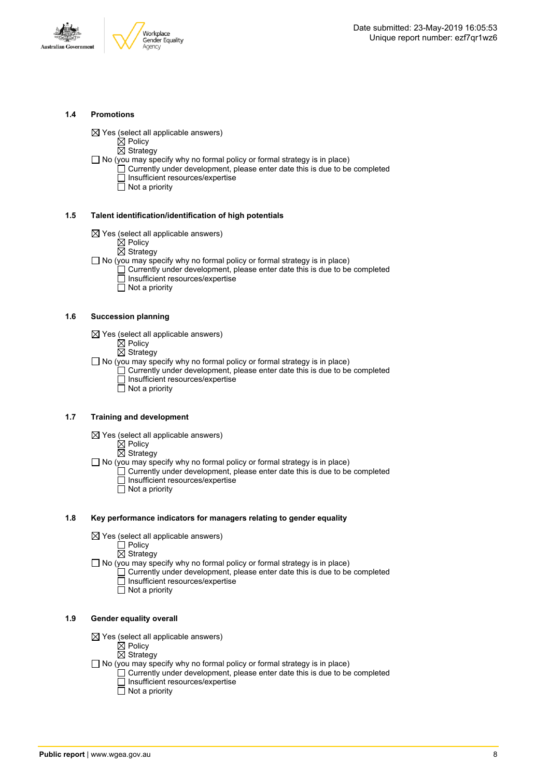



#### **1.4 Promotions**

 $\boxtimes$  Yes (select all applicable answers)

 $\boxtimes$  Policy

 $\overline{\boxtimes}$  Strategy

 $\Box$  No (you may specify why no formal policy or formal strategy is in place)

- $\Box$  Currently under development, please enter date this is due to be completed □ Insufficient resources/expertise
	- $\overline{\Box}$  Not a priority

#### **1.5 Talent identification/identification of high potentials**

- $\boxtimes$  Yes (select all applicable answers)
	- $\boxtimes$  Policy
	- $\overline{\boxtimes}$  Strategy
- $\Box$  No (you may specify why no formal policy or formal strategy is in place)
	- Currently under development, please enter date this is due to be completed Insufficient resources/expertise
		- $\overline{\Box}$  Not a priority

#### **1.6 Succession planning**

- $\boxtimes$  Yes (select all applicable answers)
	- $\boxtimes$  Policy
	- $\overline{\boxtimes}$  Strategy

 $\Box$  No (you may specify why no formal policy or formal strategy is in place)

- $\Box$  Currently under development, please enter date this is due to be completed Insufficient resources/expertise
- Not a priority

#### **1.7 Training and development**

- $\boxtimes$  Yes (select all applicable answers)
	- $\mathbb{\dot{Z}}$  Policy
		- $\boxtimes$  Strategy

 $\Box$  No (you may specify why no formal policy or formal strategy is in place)

- Currently under development, please enter date this is due to be completed Insufficient resources/expertise
	- $\Box$  Not a priority

#### **1.8 Key performance indicators for managers relating to gender equality**

- $\boxtimes$  Yes (select all applicable answers)
	- □ Policy
	- $\boxtimes$  Strategy

 $\Box$  No (you may specify why no formal policy or formal strategy is in place)

- $\Box$  Currently under development, please enter date this is due to be completed Insufficient resources/expertise
	- Not a priority

#### **1.9 Gender equality overall**

- $\boxtimes$  Yes (select all applicable answers)
	- $\mathbb{\dot{A}}$  Policy
	- $\boxtimes$  Strategy
- $\Box$  No (you may specify why no formal policy or formal strategy is in place)
	- $\Box$  Currently under development, please enter date this is due to be completed □ Insufficient resources/expertise
		- $\Box$  Not a priority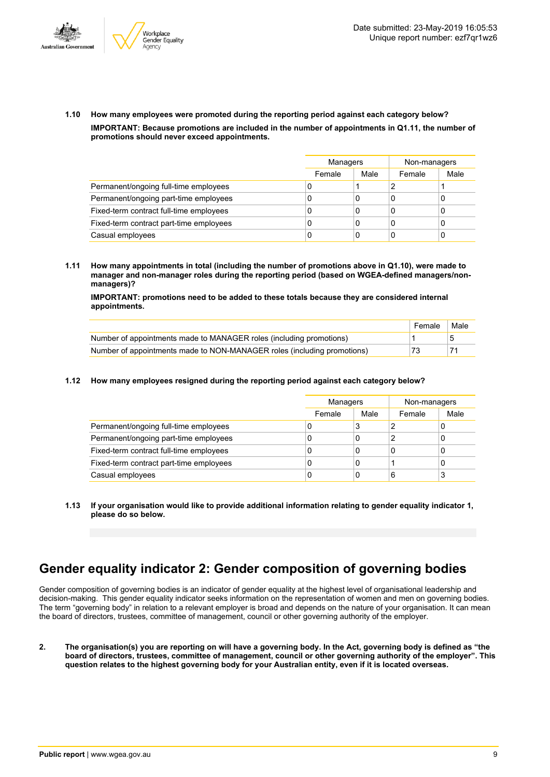



**1.10 How many employees were promoted during the reporting period against each category below? IMPORTANT: Because promotions are included in the number of appointments in Q1.11, the number of promotions should never exceed appointments.**

|                                         |        | Managers |        | Non-managers |
|-----------------------------------------|--------|----------|--------|--------------|
|                                         | Female | Male     | Female | Male         |
| Permanent/ongoing full-time employees   | U      |          |        |              |
| Permanent/ongoing part-time employees   | U      | 0        | C      |              |
| Fixed-term contract full-time employees | 0      | 0        | C      |              |
| Fixed-term contract part-time employees | 0      | 0        | C      |              |
| Casual employees                        | 0      | 0        | C      |              |

**1.11 How many appointments in total (including the number of promotions above in Q1.10), were made to manager and non-manager roles during the reporting period (based on WGEA-defined managers/nonmanagers)?**

**IMPORTANT: promotions need to be added to these totals because they are considered internal appointments.**

|                                                                         | Female | Male |
|-------------------------------------------------------------------------|--------|------|
| Number of appointments made to MANAGER roles (including promotions)     |        |      |
| Number of appointments made to NON-MANAGER roles (including promotions) | 73     |      |

#### **1.12 How many employees resigned during the reporting period against each category below?**

|                                         | Managers |      | Non-managers |      |
|-----------------------------------------|----------|------|--------------|------|
|                                         | Female   | Male | Female       | Male |
| Permanent/ongoing full-time employees   | 0        | 3    |              | 0    |
| Permanent/ongoing part-time employees   | C        | 0    | っ            | 0    |
| Fixed-term contract full-time employees | C        | 0    | 0            | 0    |
| Fixed-term contract part-time employees | C        | 0    |              | 0    |
| Casual employees                        | 0        | 0    | 6            | 3    |

**1.13 If your organisation would like to provide additional information relating to gender equality indicator 1, please do so below.**

### **Gender equality indicator 2: Gender composition of governing bodies**

Gender composition of governing bodies is an indicator of gender equality at the highest level of organisational leadership and decision-making. This gender equality indicator seeks information on the representation of women and men on governing bodies. The term "governing body" in relation to a relevant employer is broad and depends on the nature of your organisation. It can mean the board of directors, trustees, committee of management, council or other governing authority of the employer.

2. The organisation(s) you are reporting on will have a governing body. In the Act, governing body is defined as "the board of directors, trustees, committee of management, council or other governing authority of the employer". This question relates to the highest governing body for your Australian entity, even if it is located overseas.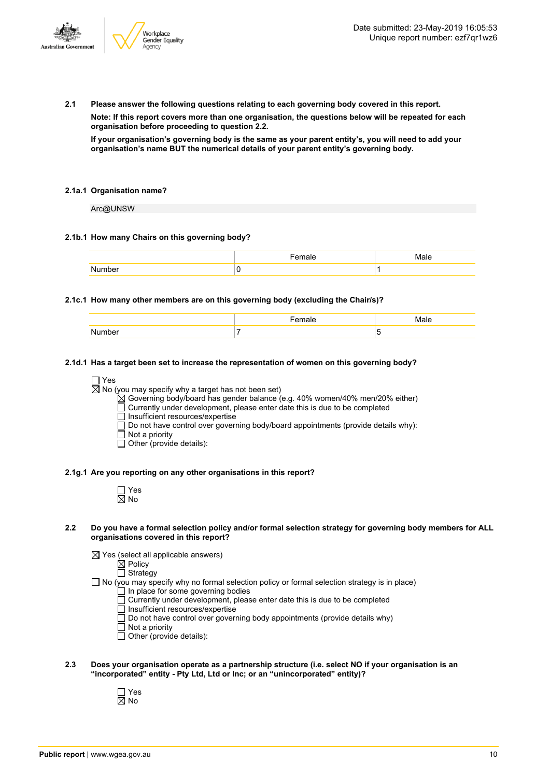

**2.1 Please answer the following questions relating to each governing body covered in this report.**

**Note: If this report covers more than one organisation, the questions below will be repeated for each organisation before proceeding to question 2.2.**

If your organisation's governing body is the same as your parent entity's, you will need to add your **organisation's name BUT the numerical details of your parent entity's governing body.**

#### **2.1a.1 Organisation name?**

Arc@UNSW

#### **2.1b.1 How many Chairs on this governing body?**

#### **2.1c.1 How many other members are on this governing body (excluding the Chair/s)?**

| . . |  |
|-----|--|

#### **2.1d.1 Has a target been set to increase the representation of women on this governing body?**

□ Yes

 $\overline{\boxtimes}$  No (you may specify why a target has not been set)

 $\boxtimes$  Governing body/board has gender balance (e.g. 40% women/40% men/20% either)

 $\overline{\Box}$  Currently under development, please enter date this is due to be completed

 $\Box$  Insufficient resources/expertise

Do not have control over governing body/board appointments (provide details why):

- Not a priority
- $\Box$  Other (provide details):

#### **2.1g.1 Are you reporting on any other organisations in this report?**

| ٦<br>٠ |
|--------|

#### 2.2 Do you have a formal selection policy and/or formal selection strategy for governing body members for ALL **organisations covered in this report?**

 $\boxtimes$  Yes (select all applicable answers)

 $\boxtimes$  Policy

□ Strategy

- $\Box$  No (you may specify why no formal selection policy or formal selection strategy is in place)
	- In place for some governing bodies Currently under development, please enter date this is due to be completed
	- $\overline{\Box}$  Insufficient resources/expertise
	- $\Box$  Do not have control over governing body appointments (provide details why)
	- Not a priority
	- Other (provide details):
- **2.3 Does your organisation operate as a partnership structure (i.e. select NO if your organisation is an "incorporated" entity - Pty Ltd, Ltd or Inc; or an "unincorporated" entity)?**
	- Yes No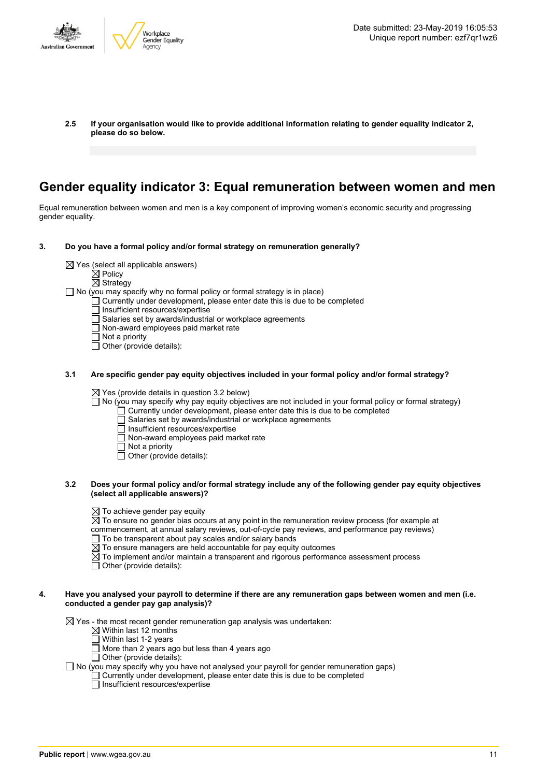

**2.5 If your organisation would like to provide additional information relating to gender equality indicator 2, please do so below.**

### **Gender equality indicator 3: Equal remuneration between women and men**

Equal remuneration between women and men is a key component of improving women's economic security and progressing gender equality.

- **3. Do you have a formal policy and/or formal strategy on remuneration generally?**
	- $\boxtimes$  Yes (select all applicable answers)
		- $\boxtimes$  Policy
		- $\overline{\boxtimes}$  Strategy

 $\Box$  No (you may specify why no formal policy or formal strategy is in place)

- Currently under development, please enter date this is due to be completed
	- Insufficient resources/expertise
- $\overline{\Box}$  Salaries set by awards/industrial or workplace agreements
- Non-award employees paid market rate
- $\Box$  Not a priority

 $\overline{\Box}$  Other (provide details):

**3.1 Are specific gender pay equity objectives included in your formal policy and/or formal strategy?**

 $\boxtimes$  Yes (provide details in question 3.2 below)

- No (you may specify why pay equity objectives are not included in your formal policy or formal strategy)
	- Currently under development, please enter date this is due to be completed
	- Salaries set by awards/industrial or workplace agreements
	- Insufficient resources/expertise
	- $\Box$  Non-award employees paid market rate
	- Not a priority
	- Other (provide details):
- 3.2 Does your formal policy and/or formal strategy include any of the following gender pay equity objectives **(select all applicable answers)?**
	- $\boxtimes$  To achieve gender pay equity
	- $\overline{\boxtimes}$  To ensure no gender bias occurs at any point in the remuneration review process (for example at
	- commencement, at annual salary reviews, out-of-cycle pay reviews, and performance pay reviews)
	- $\Box$  To be transparent about pay scales and/or salary bands
	- $\boxtimes$  To ensure managers are held accountable for pay equity outcomes
	- $\boxtimes$  To implement and/or maintain a transparent and rigorous performance assessment process
	- $\Box$  Other (provide details):

#### 4. Have you analysed your payroll to determine if there are any remuneration gaps between women and men (i.e. **conducted a gender pay gap analysis)?**

 $\boxtimes$  Yes - the most recent gender remuneration gap analysis was undertaken:

- $\boxtimes$  Within last 12 months
- $\Box$  Within last 1-2 years
- $\Box$  More than 2 years ago but less than 4 years ago
- $\Box$  Other (provide details):

 $\Box$  No (you may specify why you have not analysed your payroll for gender remuneration gaps)

 $\Box$  Currently under development, please enter date this is due to be completed

 $\Box$  Insufficient resources/expertise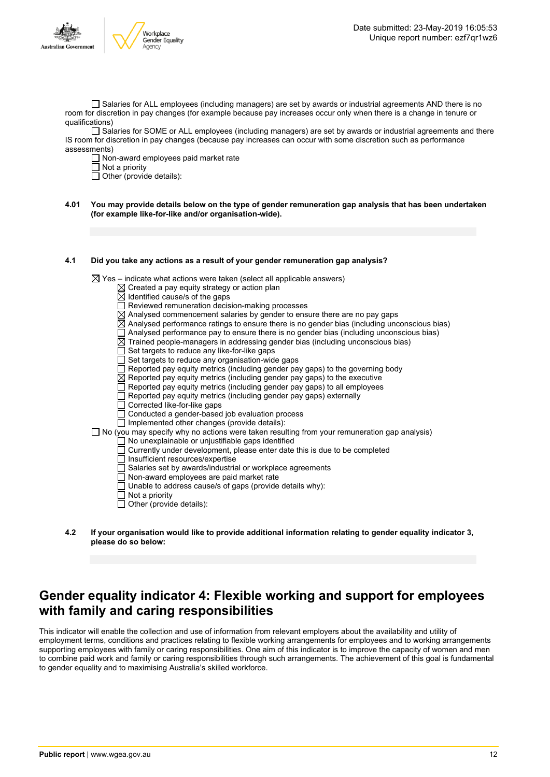

 $\Box$  Salaries for ALL employees (including managers) are set by awards or industrial agreements AND there is no room for discretion in pay changes (for example because pay increases occur only when there is a change in tenure or qualifications)

Salaries for SOME or ALL employees (including managers) are set by awards or industrial agreements and there IS room for discretion in pay changes (because pay increases can occur with some discretion such as performance assessments)

 $\Box$  Non-award employees paid market rate

 $\Box$  Not a priority

 $\Box$  Other (provide details):

4.01 You may provide details below on the type of gender remuneration gap analysis that has been undertaken **(for example like-for-like and/or organisation-wide).**

#### **4.1 Did you take any actions as a result of your gender remuneration gap analysis?**

 $\boxtimes$  Yes – indicate what actions were taken (select all applicable answers)

- $\boxtimes$  Created a pay equity strategy or action plan
- $\boxtimes$  Identified cause/s of the gaps
- □ Reviewed remuneration decision-making processes
- $\overline{\boxtimes}$  Analysed commencement salaries by gender to ensure there are no pay gaps
- $\boxtimes$  Analysed performance ratings to ensure there is no gender bias (including unconscious bias)
- $\Box$  Analysed performance pay to ensure there is no gender bias (including unconscious bias)
- $\boxtimes$  Trained people-managers in addressing gender bias (including unconscious bias)
- $\overline{\Box}$  Set targets to reduce any like-for-like gaps
- $\Box$  Set targets to reduce any organisation-wide gaps
- $\overline{\Box}$  Reported pay equity metrics (including gender pay gaps) to the governing body
- $\boxtimes$  Reported pay equity metrics (including gender pay gaps) to the executive
- $\Box$  Reported pay equity metrics (including gender pay gaps) to all employees
- $\Box$  Reported pay equity metrics (including gender pay gaps) externally
- Corrected like-for-like gaps
- Conducted a gender-based job evaluation process
- $\Box$  Implemented other changes (provide details):
- $\Box$  No (you may specify why no actions were taken resulting from your remuneration gap analysis)
	- No unexplainable or unjustifiable gaps identified
	- Currently under development, please enter date this is due to be completed
	- $\Box$  Insufficient resources/expertise
	- □ Salaries set by awards/industrial or workplace agreements
	- Non-award employees are paid market rate
	- Unable to address cause/s of gaps (provide details why):
	- $\overline{\Box}$  Not a priority
	- $\Box$  Other (provide details):
- **4.2 If your organisation would like to provide additional information relating to gender equality indicator 3, please do so below:**

### **Gender equality indicator 4: Flexible working and support for employees with family and caring responsibilities**

This indicator will enable the collection and use of information from relevant employers about the availability and utility of employment terms, conditions and practices relating to flexible working arrangements for employees and to working arrangements supporting employees with family or caring responsibilities. One aim of this indicator is to improve the capacity of women and men to combine paid work and family or caring responsibilities through such arrangements. The achievement of this goal is fundamental to gender equality and to maximising Australia's skilled workforce.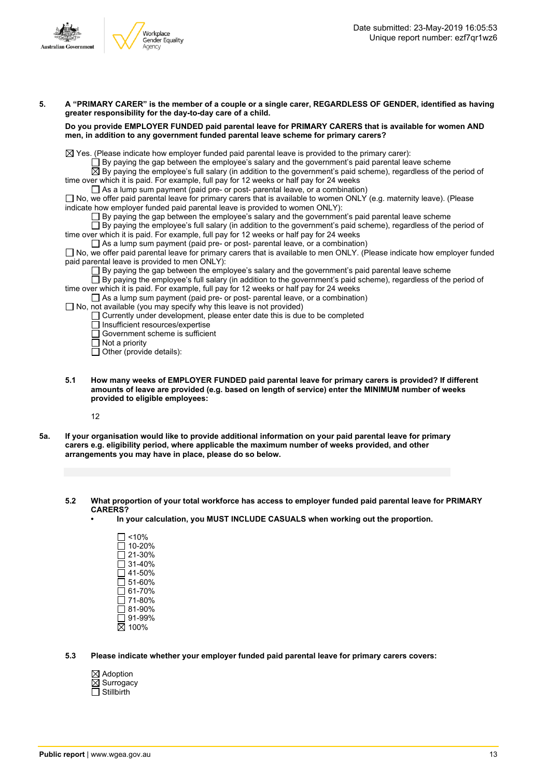

- 5. A "PRIMARY CARER" is the member of a couple or a single carer, REGARDLESS OF GENDER, identified as having **greater responsibility for the day-to-day care of a child. Do you provide EMPLOYER FUNDED paid parental leave for PRIMARY CARERS that is available for women AND men, in addition to any government funded parental leave scheme for primary carers?**  $\boxtimes$  Yes. (Please indicate how employer funded paid parental leave is provided to the primary carer):  $\square$  By paying the gap between the employee's salary and the government's paid parental leave scheme  $\overline{\boxtimes}$  By paying the employee's full salary (in addition to the government's paid scheme), regardless of the period of time over which it is paid. For example, full pay for 12 weeks or half pay for 24 weeks  $\Box$  As a lump sum payment (paid pre- or post- parental leave, or a combination)  $\Box$  No, we offer paid parental leave for primary carers that is available to women ONLY (e.g. maternity leave). (Please indicate how employer funded paid parental leave is provided to women ONLY):  $\square$  By paying the gap between the employee's salary and the government's paid parental leave scheme  $\Box$  By paying the employee's full salary (in addition to the government's paid scheme), regardless of the period of time over which it is paid. For example, full pay for 12 weeks or half pay for 24 weeks  $\Box$  As a lump sum payment (paid pre- or post- parental leave, or a combination) □ No, we offer paid parental leave for primary carers that is available to men ONLY. (Please indicate how employer funded paid parental leave is provided to men ONLY): By paying the gap between the employee's salary and the government's paid parental leave scheme By paying the employee's full salary (in addition to the government's paid scheme), regardless of the period of time over which it is paid. For example, full pay for 12 weeks or half pay for 24 weeks  $\Box$  As a lump sum payment (paid pre- or post- parental leave, or a combination)  $\Box$  No, not available (you may specify why this leave is not provided)  $\Box$  Currently under development, please enter date this is due to be completed  $\overline{\Box}$  Insufficient resources/expertise Government scheme is sufficient  $\Box$  Not a priority  $\Box$  Other (provide details):
	- **5.1 How many weeks of EMPLOYER FUNDED paid parental leave for primary carers is provided? If different amounts of leave are provided (e.g. based on length of service) enter the MINIMUM number of weeks provided to eligible employees:**

12

- 5a. If your organisation would like to provide additional information on your paid parental leave for primary **carers e.g. eligibility period, where applicable the maximum number of weeks provided, and other arrangements you may have in place, please do so below.**
	- **5.2 What proportion of your total workforce has access to employer funded paid parental leave for PRIMARY CARERS?**
		- **• In your calculation, you MUST INCLUDE CASUALS when working out the proportion.**
			- $\Box$ <10%  $\square$  10-20% 21-30% 31-40%  $\overline{\Box}$  41-50%  $\Box$  51-60%  $\overline{\Box}$  61-70% 71-80%  $\overline{\Box}$  81-90% 91-99% 100%
	- **5.3 Please indicate whether your employer funded paid parental leave for primary carers covers:**
		- $\boxtimes$  Adoption  $\boxtimes$  Surrogacy  $\Box$  Stillbirth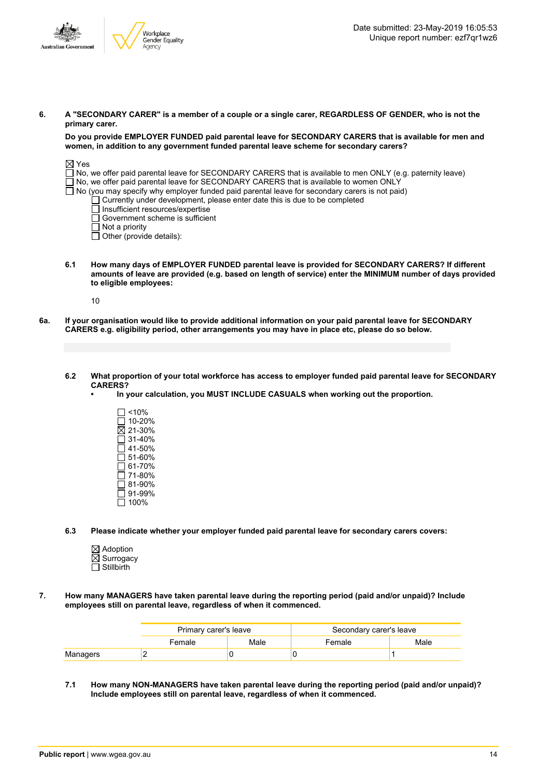

6. A "SECONDARY CARER" is a member of a couple or a single carer, REGARDLESS OF GENDER, who is not the **primary carer.**

**Do you provide EMPLOYER FUNDED paid parental leave for SECONDARY CARERS that is available for men and women, in addition to any government funded parental leave scheme for secondary carers?**

| $\boxtimes$ Yes                                                                                            |
|------------------------------------------------------------------------------------------------------------|
| No, we offer paid parental leave for SECONDARY CARERS that is available to men ONLY (e.g. paternity leave) |
| $\Box$ No, we offer paid parental leave for SECONDARY CARERS that is available to women ONLY               |
| $\Box$ No (you may specify why employer funded paid parental leave for secondary carers is not paid)       |
| $\Box$ Currently under development, please enter date this is due to be completed                          |
| Insufficient resources/expertise                                                                           |
| $\Box$ Government scheme is sufficient                                                                     |
| $\Box$ Not a priority                                                                                      |
| $\Box$ Other (provide details):                                                                            |
|                                                                                                            |

**6.1 How many days of EMPLOYER FUNDED parental leave is provided for SECONDARY CARERS? If different** amounts of leave are provided (e.g. based on length of service) enter the MINIMUM number of days provided **to eligible employees:**

10

6a. If your organisation would like to provide additional information on your paid parental leave for SECONDARY **CARERS e.g. eligibility period, other arrangements you may have in place etc, please do so below.**

#### 6.2 What proportion of your total workforce has access to employer funded paid parental leave for SECONDARY **CARERS?**

- **• In your calculation, you MUST INCLUDE CASUALS when working out the proportion.**
	- $\Box$  <10%  $\Box$  10-20%  $\overline{\boxtimes}$  21-30%  $\Box$  31-40%  $\overline{\Box}$  41-50%  $\square$  51-60%  $\Box$  61-70%  $\square$  71-80%  $\overline{\Box}$  81-90% 91-99% 100%

**6.3 Please indicate whether your employer funded paid parental leave for secondary carers covers:**

- $\boxtimes$  Adoption  $\overline{\boxtimes}$  Surrogacy  $\Box$  Stillbirth
- **7. How many MANAGERS have taken parental leave during the reporting period (paid and/or unpaid)? Include employees still on parental leave, regardless of when it commenced.**

|          | Primary carer's leave |      | Secondary carer's leave |      |
|----------|-----------------------|------|-------------------------|------|
|          | Female                | Male | Female                  | Male |
| Managers |                       |      |                         |      |

**7.1 How many NON-MANAGERS have taken parental leave during the reporting period (paid and/or unpaid)? Include employees still on parental leave, regardless of when it commenced.**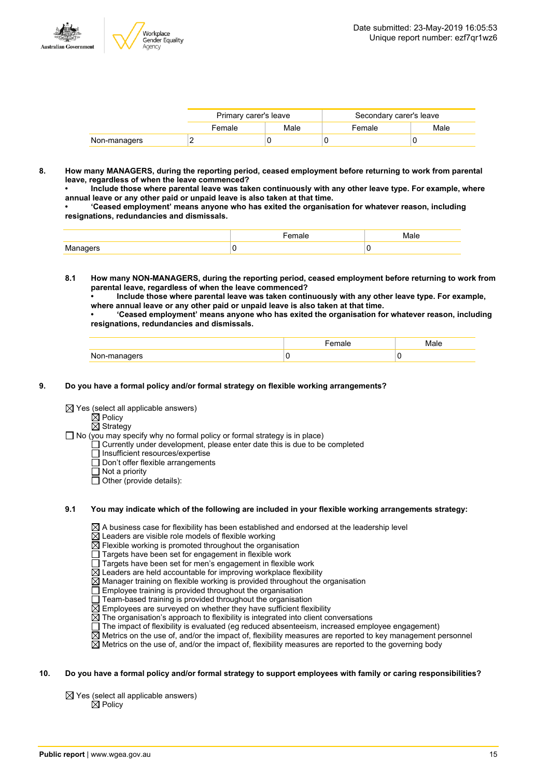

|              | Primary carer's leave |      | Secondary carer's leave |      |
|--------------|-----------------------|------|-------------------------|------|
|              | Female                | Male | Female                  | Male |
| Non-managers |                       |      |                         |      |

**8. How many MANAGERS, during the reporting period, ceased employment before returning to work from parental leave, regardless of when the leave commenced?**

**• Include those where parental leave was taken continuously with any other leave type. For example, where annual leave or any other paid or unpaid leave is also taken at that time.**

**• 'Ceased employment' means anyone who has exited the organisation for whatever reason, including resignations, redundancies and dismissals.**

**8.1 How many NON-MANAGERS, during the reporting period, ceased employment before returning to work from parental leave, regardless of when the leave commenced?**

**• Include those where parental leave was taken continuously with any other leave type. For example, where annual leave or any other paid or unpaid leave is also taken at that time.**

**• 'Ceased employment' means anyone who has exited the organisation for whatever reason, including resignations, redundancies and dismissals.**

|              | $-$<br>ае | Male |
|--------------|-----------|------|
| Non-managers |           | v    |

#### **9. Do you have a formal policy and/or formal strategy on flexible working arrangements?**

 $\boxtimes$  Yes (select all applicable answers)

 $\mathbb{\dot{Z}}$  Policy

 $\boxtimes$  Strategy

- $\Box$  No (you may specify why no formal policy or formal strategy is in place)
	- $\Box$  Currently under development, please enter date this is due to be completed
	- $\overline{\Box}$  Insufficient resources/expertise
	- Don't offer flexible arrangements
	- $\Box$  Not a priority
	- $\Box$  Other (provide details):

#### **9.1 You may indicate which of the following are included in your flexible working arrangements strategy:**

 $\boxtimes$  A business case for flexibility has been established and endorsed at the leadership level

- $\boxtimes$  Leaders are visible role models of flexible working
- $\overline{\boxtimes}$  Flexible working is promoted throughout the organisation
- Targets have been set for engagement in flexible work
- Targets have been set for men's engagement in flexible work
- $\overline{\boxtimes}$  Leaders are held accountable for improving workplace flexibility
- $\overline{\boxtimes}$  Manager training on flexible working is provided throughout the organisation
- Employee training is provided throughout the organisation
- Team-based training is provided throughout the organisation
- $\boxtimes$  Employees are surveyed on whether they have sufficient flexibility
- $\boxtimes$  The organisation's approach to flexibility is integrated into client conversations
- $\Box$  The impact of flexibility is evaluated (eg reduced absenteeism, increased employee engagement)
- $\overline{\boxtimes}$  Metrics on the use of, and/or the impact of, flexibility measures are reported to key management personnel
- $\boxtimes$  Metrics on the use of, and/or the impact of, flexibility measures are reported to the governing body

#### 10. Do you have a formal policy and/or formal strategy to support employees with family or caring responsibilities?

 $\boxtimes$  Yes (select all applicable answers)  $\mathsf{\dot{M}}$  Policy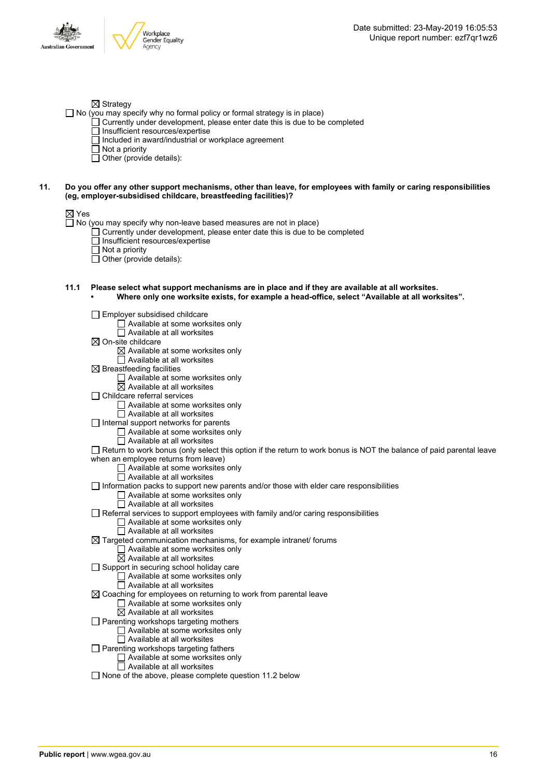

#### $\boxtimes$  Strategy

 $\Box$  No (you may specify why no formal policy or formal strategy is in place)

- $\Box$  Currently under development, please enter date this is due to be completed
	- □ Insufficient resources/expertise
	- $\Box$  Included in award/industrial or workplace agreement
- $\Box$  Not a priority
- $\Box$  Other (provide details):

#### 11. Do you offer any other support mechanisms, other than leave, for employees with family or caring responsibilities **(eg, employer-subsidised childcare, breastfeeding facilities)?**

#### ⊠ Yes

 $\Box$  No (you may specify why non-leave based measures are not in place)

- Currently under development, please enter date this is due to be completed
- $\Box$  Insufficient resources/expertise
- Not a priority
- Other (provide details):

#### **11.1 Please select what support mechanisms are in place and if they are available at all worksites. • Where only one worksite exists, for example a head-office, select "Available at all worksites".**

Employer subsidised childcare  $\Box$  Available at some worksites only  $\Box$  Available at all worksites  $\boxtimes$  On-site childcare  $\boxtimes$  Available at some worksites only  $\Box$  Available at all worksites  $\boxtimes$  Breastfeeding facilities □ Available at some worksites only  $\boxtimes$  Available at all worksites □ Childcare referral services Available at some worksites only Available at all worksites  $\Box$  Internal support networks for parents  $\Box$  Available at some worksites only  $\overline{\Box}$  Available at all worksites Return to work bonus (only select this option if the return to work bonus is NOT the balance of paid parental leave when an employee returns from leave) □ Available at some worksites only  $\Box$  Available at all worksites  $\Box$  Information packs to support new parents and/or those with elder care responsibilities □ Available at some worksites only  $\Box$  Available at all worksites  $\Box$  Referral services to support employees with family and/or caring responsibilities  $\Box$  Available at some worksites only  $\overline{\Box}$  Available at all worksites  $\boxtimes$  Targeted communication mechanisms, for example intranet/ forums  $\Box$  Available at some worksites only  $\overline{\boxtimes}$  Available at all worksites  $\Box$  Support in securing school holiday care □ Available at some worksites only  $\Box$  Available at all worksites  $\boxtimes$  Coaching for employees on returning to work from parental leave Available at some worksites only  $\overline{\boxtimes}$  Available at all worksites  $\Box$  Parenting workshops targeting mothers  $\Box$  Available at some worksites only □ Available at all worksites  $\Box$  Parenting workshops targeting fathers □ Available at some worksites only  $\overline{\Box}$  Available at all worksites  $\Box$  None of the above, please complete question 11.2 below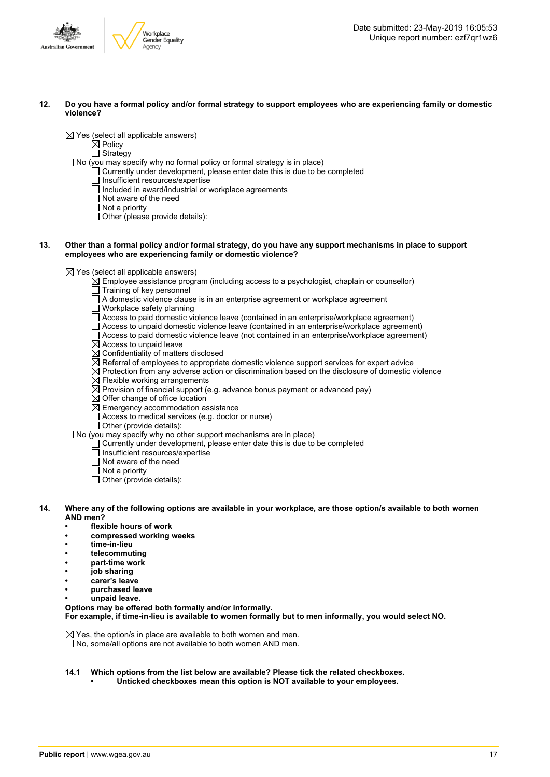

#### 12. Do you have a formal policy and/or formal strategy to support employees who are experiencing family or domestic **violence?**

 $\boxtimes$  Yes (select all applicable answers)

#### $\boxtimes$  Policy

□ Strategy

 $\Box$  No (you may specify why no formal policy or formal strategy is in place)

- $\Box$  Currently under development, please enter date this is due to be completed
- $\Box$  Insufficient resources/expertise
- $\Box$  Included in award/industrial or workplace agreements
- □ Not aware of the need
- $\Box$  Not a priority
- $\Box$  Other (please provide details):

#### 13. Other than a formal policy and/or formal strategy, do you have any support mechanisms in place to support **employees who are experiencing family or domestic violence?**

 $\boxtimes$  Yes (select all applicable answers)

- $\boxtimes$  Employee assistance program (including access to a psychologist, chaplain or counsellor)
- Training of key personnel
- A domestic violence clause is in an enterprise agreement or workplace agreement
- $\Box$  Workplace safety planning
- Access to paid domestic violence leave (contained in an enterprise/workplace agreement)
- $\Box$  Access to unpaid domestic violence leave (contained in an enterprise/workplace agreement)
- Access to paid domestic violence leave (not contained in an enterprise/workplace agreement)
- $\boxtimes$  Access to unpaid leave
- $\boxtimes$  Confidentiality of matters disclosed
- $\overline{\boxtimes}$  Referral of employees to appropriate domestic violence support services for expert advice
- $\overline{\boxtimes}$  Protection from any adverse action or discrimination based on the disclosure of domestic violence
- $\boxtimes$  Flexible working arrangements
- $\overline{\boxtimes}$  Provision of financial support (e.g. advance bonus payment or advanced pay)
- $\boxtimes$  Offer change of office location
- $\overline{\boxtimes}$  Emergency accommodation assistance
- $\Box$  Access to medical services (e.g. doctor or nurse)
- $\Box$  Other (provide details):

 $\Box$  No (you may specify why no other support mechanisms are in place)

- $\Box$  Currently under development, please enter date this is due to be completed
	- □ Insufficient resources/expertise
	- $\Box$  Not aware of the need
	- $\overline{\Box}$  Not a priority
	- $\overline{\Box}$  Other (provide details):
- 14. Where any of the following options are available in your workplace, are those option/s available to both women **AND men?**
	- **• flexible hours of work**
	- **• compressed working weeks**
	- **• time-in-lieu**
	- **• telecommuting**
	- **• part-time work**
	- **• job sharing**
	- **• carer's leave**
	- **• purchased leave**
	- **• unpaid leave.**

**Options may be offered both formally and/or informally. For example, if time-in-lieu is available to women formally but to men informally, you would select NO.**

 $\boxtimes$  Yes, the option/s in place are available to both women and men.  $\overline{\Box}$  No, some/all options are not available to both women AND men.

- **14.1 Which options from the list below are available? Please tick the related checkboxes.**
	- **• Unticked checkboxes mean this option is NOT available to your employees.**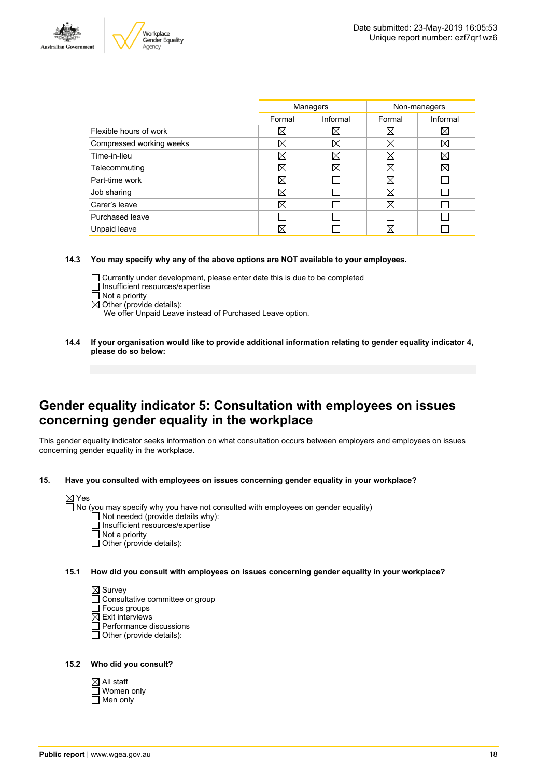



|                          | Managers    |             | Non-managers |          |
|--------------------------|-------------|-------------|--------------|----------|
|                          | Formal      | Informal    | Formal       | Informal |
| Flexible hours of work   | ⊠           | ⊠           | ⊠            | ⋈        |
| Compressed working weeks | $\boxtimes$ | $\boxtimes$ | ⊠            | ⊠        |
| Time-in-lieu             | ⊠           | ⊠           | X            | ⊠        |
| Telecommuting            | ⊠           | Χ           | ⊠            | X        |
| Part-time work           | ⊠           |             | ⊠            |          |
| Job sharing              | ⊠           |             | ⊠            |          |
| Carer's leave            | ⊠           |             | ⊠            |          |
| Purchased leave          |             |             |              |          |
| Unpaid leave             | ⊠           |             | X            |          |
|                          |             |             |              |          |

**14.3 You may specify why any of the above options are NOT available to your employees.**

- Currently under development, please enter date this is due to be completed
- $\Box$  Insufficient resources/expertise
- $\overline{\Box}$  Not a priority
- $\overline{\boxtimes}$  Other (provide details):

We offer Unpaid Leave instead of Purchased Leave option.

**14.4 If your organisation would like to provide additional information relating to gender equality indicator 4, please do so below:**

### **Gender equality indicator 5: Consultation with employees on issues concerning gender equality in the workplace**

This gender equality indicator seeks information on what consultation occurs between employers and employees on issues concerning gender equality in the workplace.

#### **15. Have you consulted with employees on issues concerning gender equality in your workplace?**

|--|--|

No (you may specify why you have not consulted with employees on gender equality)

- $\Box$  Not needed (provide details why):
- $\Box$  Insufficient resources/expertise
- Not a priority
- Other (provide details):

**15.1 How did you consult with employees on issues concerning gender equality in your workplace?**

 $\boxtimes$  Survey □ Consultative committee or group  $\Box$  Focus groups  $\boxtimes$  Exit interviews Performance discussions  $\overline{\Box}$  Other (provide details):

#### **15.2 Who did you consult?**

| $\boxtimes$ All staff |
|-----------------------|
| $\Box$ Women only     |
| $\Box$ Men only       |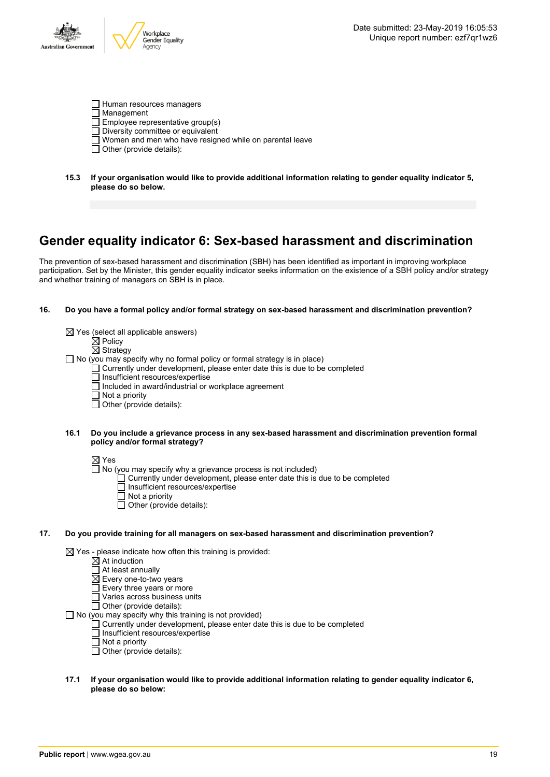

- Human resources managers
- □ Management
- $\overline{\Box}$  Employee representative group(s)
- Diversity committee or equivalent
- $\overline{\Box}$  Women and men who have resigned while on parental leave
- $\Box$  Other (provide details):
- **15.3 If your organisation would like to provide additional information relating to gender equality indicator 5, please do so below.**

# **Gender equality indicator 6: Sex-based harassment and discrimination**

The prevention of sex-based harassment and discrimination (SBH) has been identified as important in improving workplace participation. Set by the Minister, this gender equality indicator seeks information on the existence of a SBH policy and/or strategy and whether training of managers on SBH is in place.

#### **16. Do you have a formal policy and/or formal strategy on sex-based harassment and discrimination prevention?**

|     |      | $\boxtimes$ Yes (select all applicable answers)<br>$\boxtimes$ Policy<br>$\boxtimes$ Strategy<br>$\Box$ No (you may specify why no formal policy or formal strategy is in place)<br>Currently under development, please enter date this is due to be completed<br>Insufficient resources/expertise<br>Included in award/industrial or workplace agreement<br>$\Box$ Not a priority |
|-----|------|------------------------------------------------------------------------------------------------------------------------------------------------------------------------------------------------------------------------------------------------------------------------------------------------------------------------------------------------------------------------------------|
|     | 16.1 | $\Box$ Other (provide details):<br>Do you include a grievance process in any sex-based harassment and discrimination prevention formal<br>policy and/or formal strategy?                                                                                                                                                                                                           |
|     |      | $\boxtimes$ Yes<br>$\Box$ No (you may specify why a grievance process is not included)<br>Currently under development, please enter date this is due to be completed<br>□ Insufficient resources/expertise<br>Not a priority<br>Other (provide details):                                                                                                                           |
| 17. |      | Do you provide training for all managers on sex-based harassment and discrimination prevention?                                                                                                                                                                                                                                                                                    |
|     |      | $\boxtimes$ Yes - please indicate how often this training is provided:<br>$\boxtimes$ At induction<br>At least annually<br>$\boxtimes$ Every one-to-two years<br>Every three years or more<br>Varies across business units<br>Other (provide details):<br>No (you may specify why this training is not provided)                                                                   |

- $\Box$  Currently under development, please enter date this is due to be completed
	- Insufficient resources/expertise
	- Not a priority
	- Other (provide details):
- **17.1 If your organisation would like to provide additional information relating to gender equality indicator 6, please do so below:**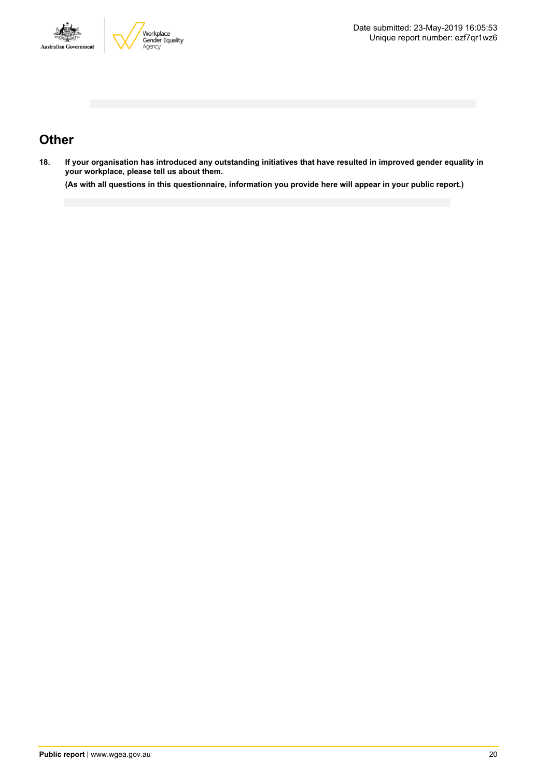



# **Other**

18. If your organisation has introduced any outstanding initiatives that have resulted in improved gender equality in **your workplace, please tell us about them.**

(As with all questions in this questionnaire, information you provide here will appear in your public report.)